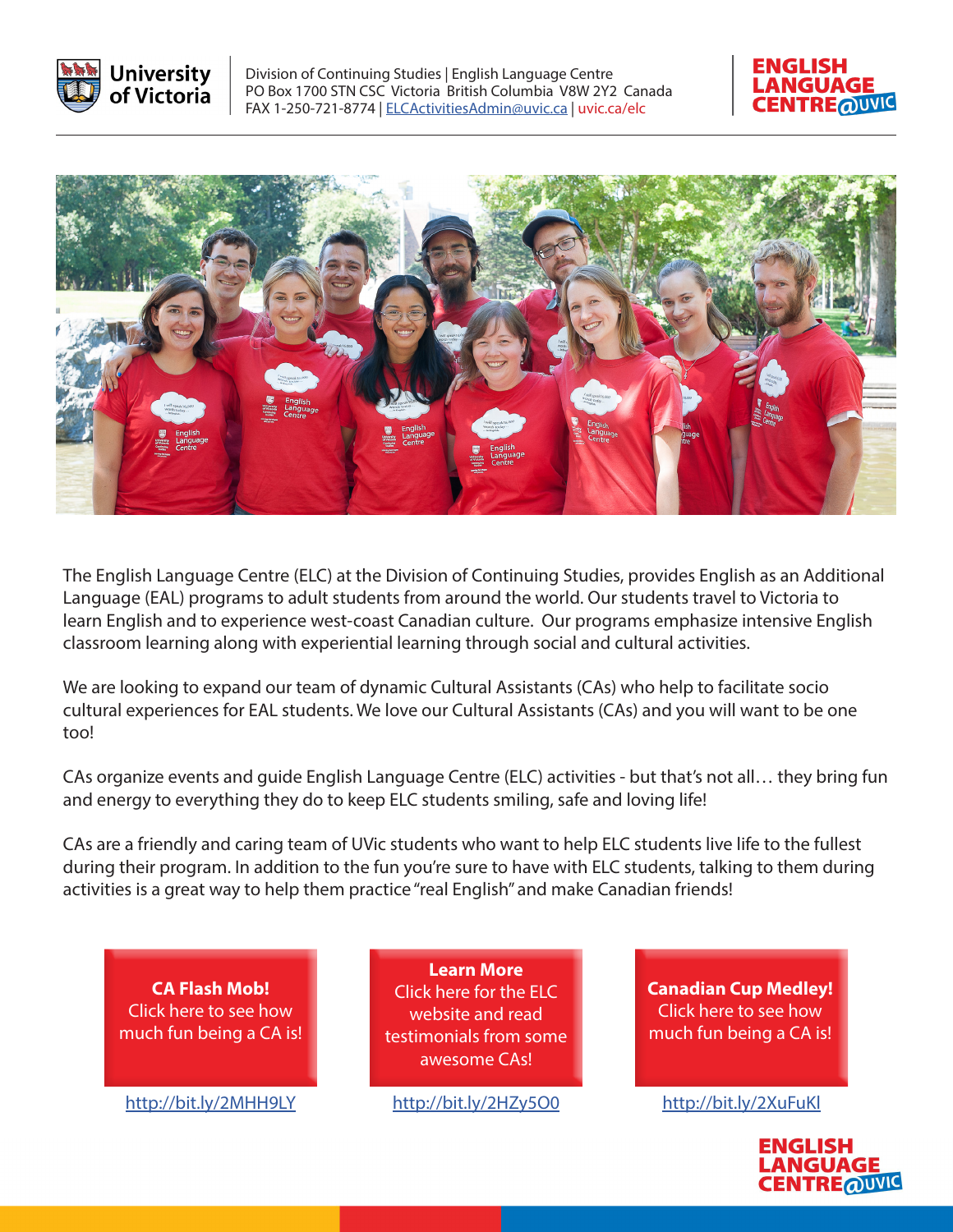

Division of Continuing Studies | English Language Centre PO Box 1700 STN CSC Victoria British Columbia V8W 2Y2 Canada FAX 1-250-721-8774 | [ELCActivitiesAdmin@uvic.ca](mailto:ELCActivitiesAdmin%40uvic.ca?subject=) | [uvic.ca/elc](http://uvic.ca/elc)





The English Language Centre (ELC) at the Division of Continuing Studies, provides English as an Additional Language (EAL) programs to adult students from around the world. Our students travel to Victoria to learn English and to experience west-coast Canadian culture. Our programs emphasize intensive English classroom learning along with experiential learning through social and cultural activities.

We are looking to expand our team of dynamic Cultural Assistants (CAs) who help to facilitate socio cultural experiences for EAL students. We love our Cultural Assistants (CAs) and you will want to be one too!

CAs organize events and guide English Language Centre (ELC) activities - but that's not all… they bring fun and energy to everything they do to keep ELC students smiling, safe and loving life!

CAs are a friendly and caring team of UVic students who want to help ELC students live life to the fullest during their program. In addition to the fun you're sure to have with ELC students, talking to them during activities is a great way to help them practice "real English" and make Canadian friends!

**CA Flash Mob[!](https://www.youtube.com/watch?v=Ffw62f9RlJ0)** [Click here to see how](https://www.youtube.com/watch?v=Ffw62f9RlJ0)  [much fun being a CA is!](https://www.youtube.com/watch?v=Ffw62f9RlJ0)

**[Learn More](https://continuingstudies.uvic.ca/elc/student-life/cultural-assistants)** [Click here for the ELC](https://continuingstudies.uvic.ca/elc/student-life/cultural-assistants)  [website and read](https://continuingstudies.uvic.ca/elc/student-life/cultural-assistants)  [testimonials from some](https://continuingstudies.uvic.ca/elc/student-life/cultural-assistants#/video-modal-v7560)  [awesome CAs!](https://continuingstudies.uvic.ca/elc/student-life/cultural-assistants) 

<http://bit.ly/2MHH9LY> <http://bit.ly/2HZy5O0> <http://bit.ly/2XuFuKl>

**[Canadian Cup Medley!](https://www.youtube.com/watch?time_continue=1&v=iHqdkf9P6XQ)** [Click here to see how](https://www.youtube.com/watch?v=iHqdkf9P6XQ)  [much fun being a CA is!](https://www.youtube.com/watch?v=iHqdkf9P6XQ)